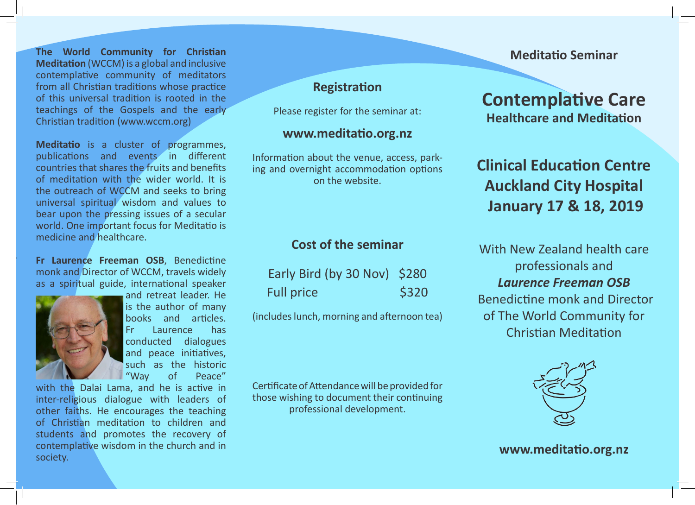**The World Community for Christian Meditation** (WCCM) is a global and inclusive contemplative community of meditators from all Christian traditions whose practice of this universal tradition is rooted in the teachings of the Gospels and the early Christian tradition (www.wccm.org)

**Meditatio** is a cluster of programmes, publications and events in different countries that shares the fruits and benefits of meditation with the wider world. It is the outreach of WCCM and seeks to bring universal spiritual wisdom and values to bear upon the pressing issues of a secular world. One important focus for Meditatio is medicine and healthcare.

**Fr Laurence Freeman OSB**, Benedictine monk and Director of WCCM, travels widely as a spiritual guide, international speaker



*Fr Laurence Freeman*

and retreat leader. He is the author of many books and articles. Fr Laurence has conducted dialogues and peace initiatives, such as the historic<br>"Way of Peace" of Peace"

with the Dalai Lama, and he is active in inter-religious dialogue with leaders of other faiths. He encourages the teaching of Christian meditation to children and students and promotes the recovery of contemplative wisdom in the church and in society.

# **Registration**

Please register for the seminar at:

#### **www.meditatio.org.nz**

Information about the venue, access, parking and overnight accommodation options on the website.

## **Cost of the seminar**

| Early Bird (by 30 Nov) \$280 |       |
|------------------------------|-------|
| <b>Full price</b>            | \$320 |

(includes lunch, morning and afternoon tea)

Certificate of Attendance will be provided for those wishing to document their continuing professional development.

### **Meditatio Seminar**

# **Contemplative Care Healthcare and Meditation**

# **Clinical Education Centre Auckland City Hospital January 17 & 18, 2019**

With New Zealand health care professionals and *Laurence Freeman OSB* Benedictine monk and Director of The World Community for Christian Meditation



### **www.meditatio.org.nz**